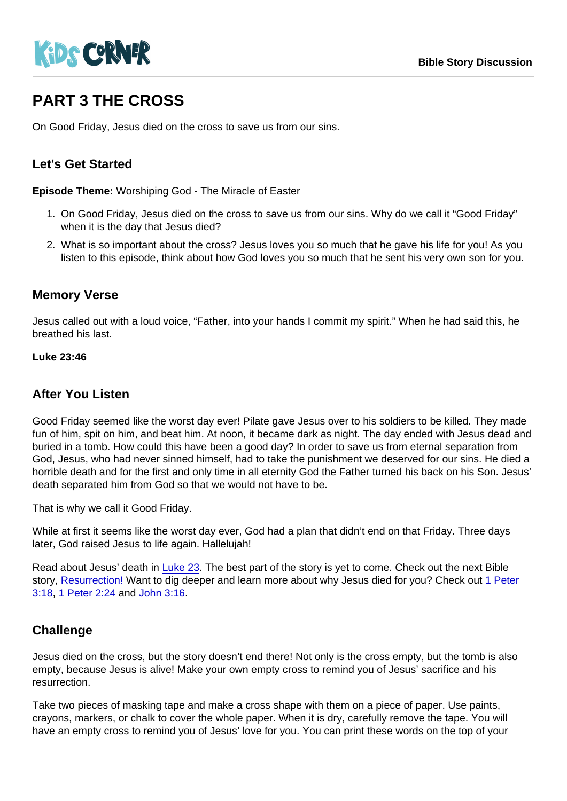# PART 3 THE CROSS

On Good Friday, Jesus died on the cross to save us from our sins.

## Let's Get Started

Episode Theme: Worshiping God - The Miracle of Easter

- 1. On Good Friday, Jesus died on the cross to save us from our sins. Why do we call it "Good Friday" when it is the day that Jesus died?
- 2. What is so important about the cross? Jesus loves you so much that he gave his life for you! As you listen to this episode, think about how God loves you so much that he sent his very own son for you.

### Memory Verse

Jesus called out with a loud voice, "Father, into your hands I commit my spirit." When he had said this, he breathed his last.

Luke 23:46

#### After You Listen

Good Friday seemed like the worst day ever! Pilate gave Jesus over to his soldiers to be killed. They made fun of him, spit on him, and beat him. At noon, it became dark as night. The day ended with Jesus dead and buried in a tomb. How could this have been a good day? In order to save us from eternal separation from God, Jesus, who had never sinned himself, had to take the punishment we deserved for our sins. He died a horrible death and for the first and only time in all eternity God the Father turned his back on his Son. Jesus' death separated him from God so that we would not have to be.

That is why we call it Good Friday.

While at first it seems like the worst day ever, God had a plan that didn't end on that Friday. Three days later, God raised Jesus to life again. Hallelujah!

Read about Jesus' death in [Luke 23.](https://www.biblegateway.com/passage/?search=Luke+23&version=NIV) The best part of the story is yet to come. Check out the next Bible story, [Resurrection!](https://kidscorner.reframemedia.com/bible-stories/resurrection) Want to dig deeper and learn more about why Jesus died for you? Check out 1 Peter [3:18](https://www.biblegateway.com/passage/?search=1+peter+3:18&version=CEV), [1 Peter 2:24](https://www.biblegateway.com/passage/?search=1+peter+2:+24&version=CEV) and [John 3:16](https://www.biblegateway.com/passage/?search=john+3:16&version=CEV).

## **Challenge**

Jesus died on the cross, but the story doesn't end there! Not only is the cross empty, but the tomb is also empty, because Jesus is alive! Make your own empty cross to remind you of Jesus' sacrifice and his resurrection.

Take two pieces of masking tape and make a cross shape with them on a piece of paper. Use paints, crayons, markers, or chalk to cover the whole paper. When it is dry, carefully remove the tape. You will have an empty cross to remind you of Jesus' love for you. You can print these words on the top of your